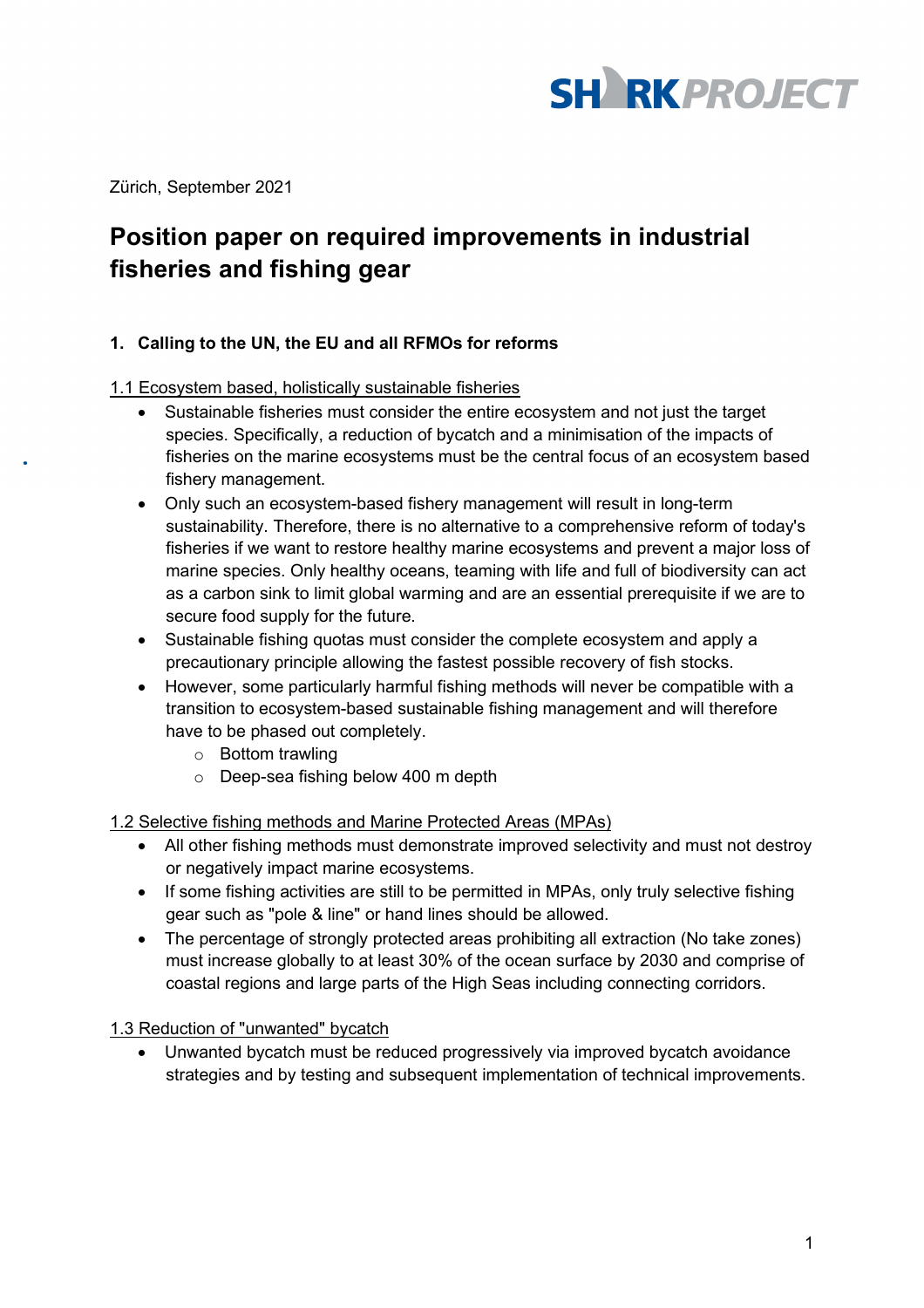

Zürich, September 2021

# **Position paper on required improvements in industrial fisheries and fishing gear**

#### **1. Calling to the UN, the EU and all RFMOs for reforms**

#### 1.1 Ecosystem based, holistically sustainable fisheries

- Sustainable fisheries must consider the entire ecosystem and not just the target species. Specifically, a reduction of bycatch and a minimisation of the impacts of fisheries on the marine ecosystems must be the central focus of an ecosystem based fishery management.
- Only such an ecosystem-based fishery management will result in long-term sustainability. Therefore, there is no alternative to a comprehensive reform of today's fisheries if we want to restore healthy marine ecosystems and prevent a major loss of marine species. Only healthy oceans, teaming with life and full of biodiversity can act as a carbon sink to limit global warming and are an essential prerequisite if we are to secure food supply for the future.
- Sustainable fishing quotas must consider the complete ecosystem and apply a precautionary principle allowing the fastest possible recovery of fish stocks.
- However, some particularly harmful fishing methods will never be compatible with a transition to ecosystem-based sustainable fishing management and will therefore have to be phased out completely.
	- o Bottom trawling
	- o Deep-sea fishing below 400 m depth

#### 1.2 Selective fishing methods and Marine Protected Areas (MPAs)

- All other fishing methods must demonstrate improved selectivity and must not destroy or negatively impact marine ecosystems.
- If some fishing activities are still to be permitted in MPAs, only truly selective fishing gear such as "pole & line" or hand lines should be allowed.
- The percentage of strongly protected areas prohibiting all extraction (No take zones) must increase globally to at least 30% of the ocean surface by 2030 and comprise of coastal regions and large parts of the High Seas including connecting corridors.

## 1.3 Reduction of "unwanted" bycatch

• Unwanted bycatch must be reduced progressively via improved bycatch avoidance strategies and by testing and subsequent implementation of technical improvements.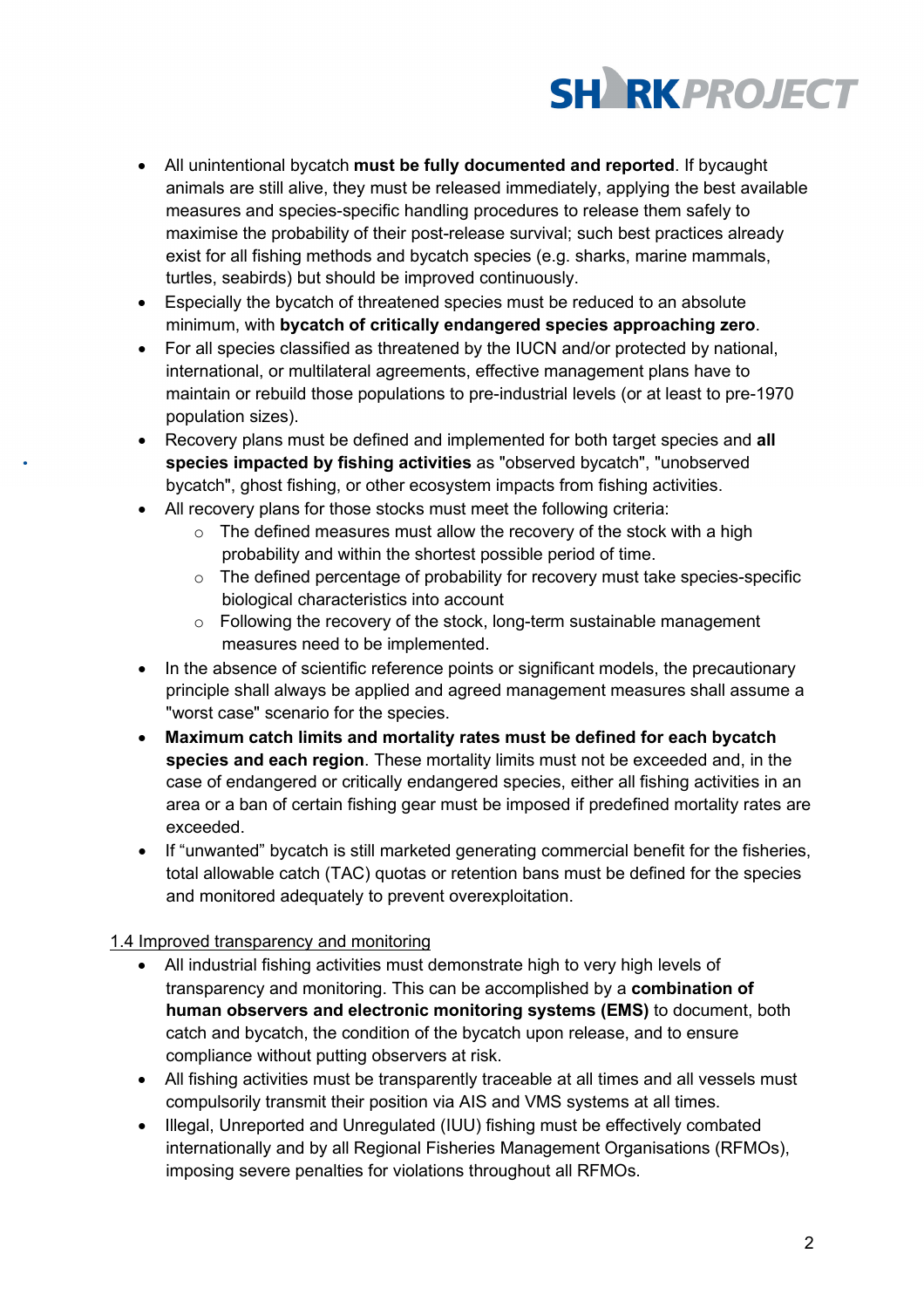

- All unintentional bycatch **must be fully documented and reported**. If bycaught animals are still alive, they must be released immediately, applying the best available measures and species-specific handling procedures to release them safely to maximise the probability of their post-release survival; such best practices already exist for all fishing methods and bycatch species (e.g. sharks, marine mammals, turtles, seabirds) but should be improved continuously.
- Especially the bycatch of threatened species must be reduced to an absolute minimum, with **bycatch of critically endangered species approaching zero**.
- For all species classified as threatened by the IUCN and/or protected by national, international, or multilateral agreements, effective management plans have to maintain or rebuild those populations to pre-industrial levels (or at least to pre-1970 population sizes).
- Recovery plans must be defined and implemented for both target species and **all species impacted by fishing activities** as "observed bycatch", "unobserved bycatch", ghost fishing, or other ecosystem impacts from fishing activities.
- All recovery plans for those stocks must meet the following criteria:
	- $\circ$  The defined measures must allow the recovery of the stock with a high probability and within the shortest possible period of time.
	- $\circ$  The defined percentage of probability for recovery must take species-specific biological characteristics into account
	- o Following the recovery of the stock, long-term sustainable management measures need to be implemented.
- In the absence of scientific reference points or significant models, the precautionary principle shall always be applied and agreed management measures shall assume a "worst case" scenario for the species.
- **Maximum catch limits and mortality rates must be defined for each bycatch species and each region**. These mortality limits must not be exceeded and, in the case of endangered or critically endangered species, either all fishing activities in an area or a ban of certain fishing gear must be imposed if predefined mortality rates are exceeded.
- If "unwanted" bycatch is still marketed generating commercial benefit for the fisheries, total allowable catch (TAC) quotas or retention bans must be defined for the species and monitored adequately to prevent overexploitation.

## 1.4 Improved transparency and monitoring

- All industrial fishing activities must demonstrate high to very high levels of transparency and monitoring. This can be accomplished by a **combination of human observers and electronic monitoring systems (EMS)** to document, both catch and bycatch, the condition of the bycatch upon release, and to ensure compliance without putting observers at risk.
- All fishing activities must be transparently traceable at all times and all vessels must compulsorily transmit their position via AIS and VMS systems at all times.
- Illegal, Unreported and Unregulated (IUU) fishing must be effectively combated internationally and by all Regional Fisheries Management Organisations (RFMOs), imposing severe penalties for violations throughout all RFMOs.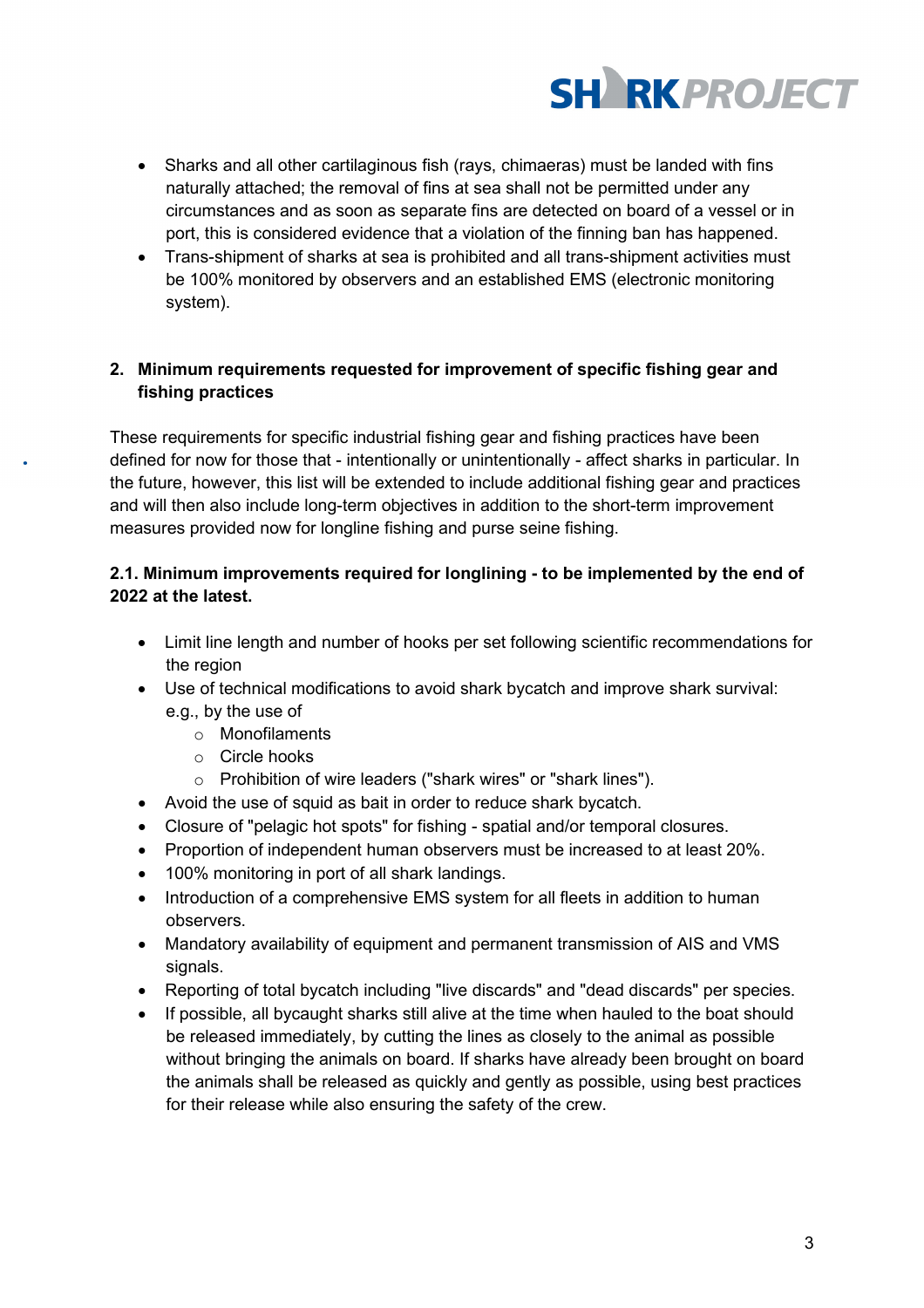

- Sharks and all other cartilaginous fish (rays, chimaeras) must be landed with fins naturally attached; the removal of fins at sea shall not be permitted under any circumstances and as soon as separate fins are detected on board of a vessel or in port, this is considered evidence that a violation of the finning ban has happened.
- Trans-shipment of sharks at sea is prohibited and all trans-shipment activities must be 100% monitored by observers and an established EMS (electronic monitoring system).

## **2. Minimum requirements requested for improvement of specific fishing gear and fishing practices**

These requirements for specific industrial fishing gear and fishing practices have been defined for now for those that - intentionally or unintentionally - affect sharks in particular. In the future, however, this list will be extended to include additional fishing gear and practices and will then also include long-term objectives in addition to the short-term improvement measures provided now for longline fishing and purse seine fishing.

# **2.1. Minimum improvements required for longlining - to be implemented by the end of 2022 at the latest.**

- Limit line length and number of hooks per set following scientific recommendations for the region
- Use of technical modifications to avoid shark bycatch and improve shark survival: e.g., by the use of
	- o Monofilaments
	- o Circle hooks
	- o Prohibition of wire leaders ("shark wires" or "shark lines").
- Avoid the use of squid as bait in order to reduce shark bycatch.
- Closure of "pelagic hot spots" for fishing spatial and/or temporal closures.
- Proportion of independent human observers must be increased to at least 20%.
- 100% monitoring in port of all shark landings.
- Introduction of a comprehensive EMS system for all fleets in addition to human observers.
- Mandatory availability of equipment and permanent transmission of AIS and VMS signals.
- Reporting of total bycatch including "live discards" and "dead discards" per species.
- If possible, all bycaught sharks still alive at the time when hauled to the boat should be released immediately, by cutting the lines as closely to the animal as possible without bringing the animals on board. If sharks have already been brought on board the animals shall be released as quickly and gently as possible, using best practices for their release while also ensuring the safety of the crew.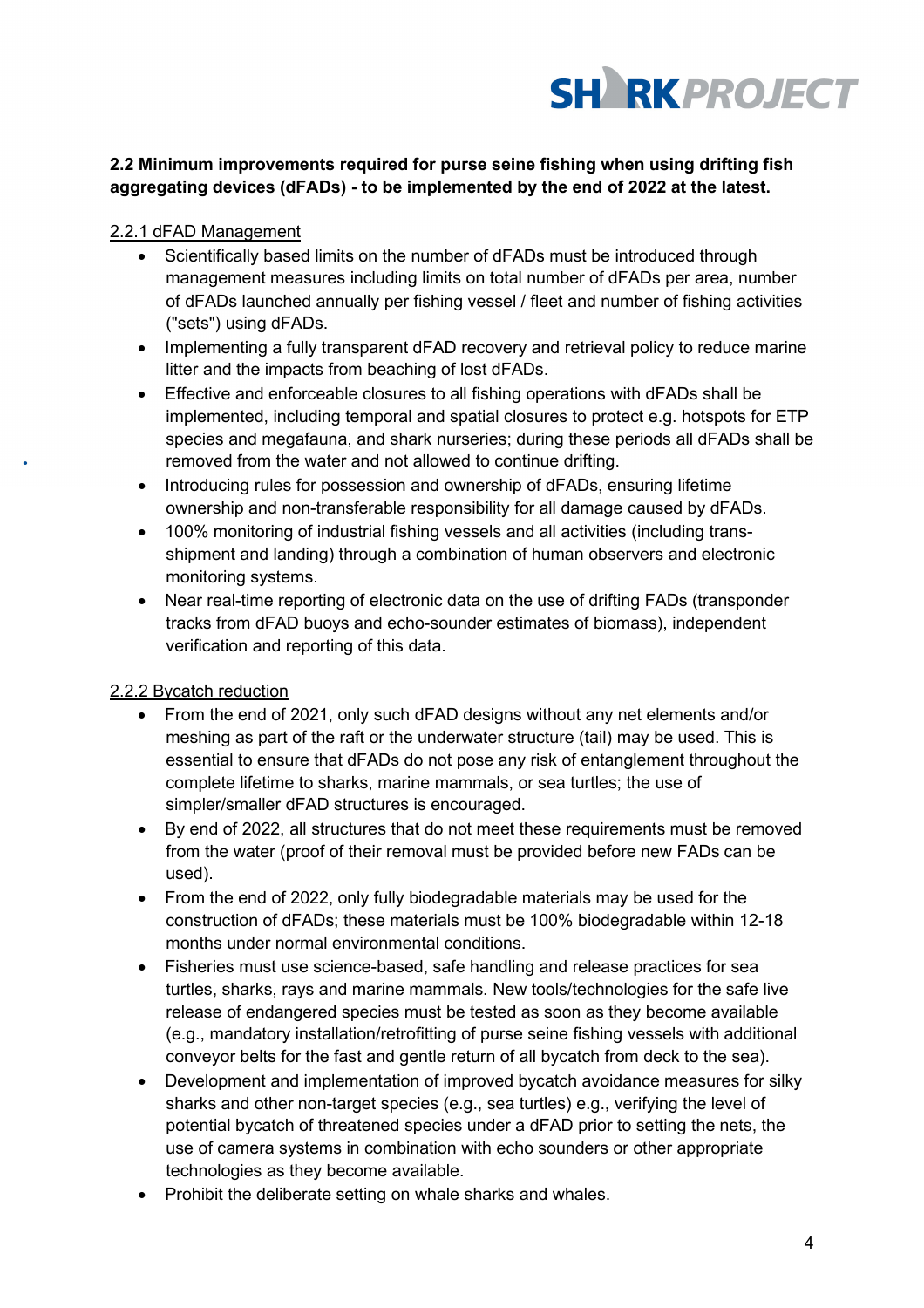

## **2.2 Minimum improvements required for purse seine fishing when using drifting fish aggregating devices (dFADs) - to be implemented by the end of 2022 at the latest.**

## 2.2.1 dFAD Management

- Scientifically based limits on the number of dFADs must be introduced through management measures including limits on total number of dFADs per area, number of dFADs launched annually per fishing vessel / fleet and number of fishing activities ("sets") using dFADs.
- Implementing a fully transparent dFAD recovery and retrieval policy to reduce marine litter and the impacts from beaching of lost dFADs.
- Effective and enforceable closures to all fishing operations with dFADs shall be implemented, including temporal and spatial closures to protect e.g. hotspots for ETP species and megafauna, and shark nurseries; during these periods all dFADs shall be removed from the water and not allowed to continue drifting.
- Introducing rules for possession and ownership of dFADs, ensuring lifetime ownership and non-transferable responsibility for all damage caused by dFADs.
- 100% monitoring of industrial fishing vessels and all activities (including transshipment and landing) through a combination of human observers and electronic monitoring systems.
- Near real-time reporting of electronic data on the use of drifting FADs (transponder tracks from dFAD buoys and echo-sounder estimates of biomass), independent verification and reporting of this data.

# 2.2.2 Bycatch reduction

- From the end of 2021, only such dFAD designs without any net elements and/or meshing as part of the raft or the underwater structure (tail) may be used. This is essential to ensure that dFADs do not pose any risk of entanglement throughout the complete lifetime to sharks, marine mammals, or sea turtles; the use of simpler/smaller dFAD structures is encouraged.
- By end of 2022, all structures that do not meet these requirements must be removed from the water (proof of their removal must be provided before new FADs can be used).
- From the end of 2022, only fully biodegradable materials may be used for the construction of dFADs; these materials must be 100% biodegradable within 12-18 months under normal environmental conditions.
- Fisheries must use science-based, safe handling and release practices for sea turtles, sharks, rays and marine mammals. New tools/technologies for the safe live release of endangered species must be tested as soon as they become available (e.g., mandatory installation/retrofitting of purse seine fishing vessels with additional conveyor belts for the fast and gentle return of all bycatch from deck to the sea).
- Development and implementation of improved bycatch avoidance measures for silky sharks and other non-target species (e.g., sea turtles) e.g., verifying the level of potential bycatch of threatened species under a dFAD prior to setting the nets, the use of camera systems in combination with echo sounders or other appropriate technologies as they become available.
- Prohibit the deliberate setting on whale sharks and whales.